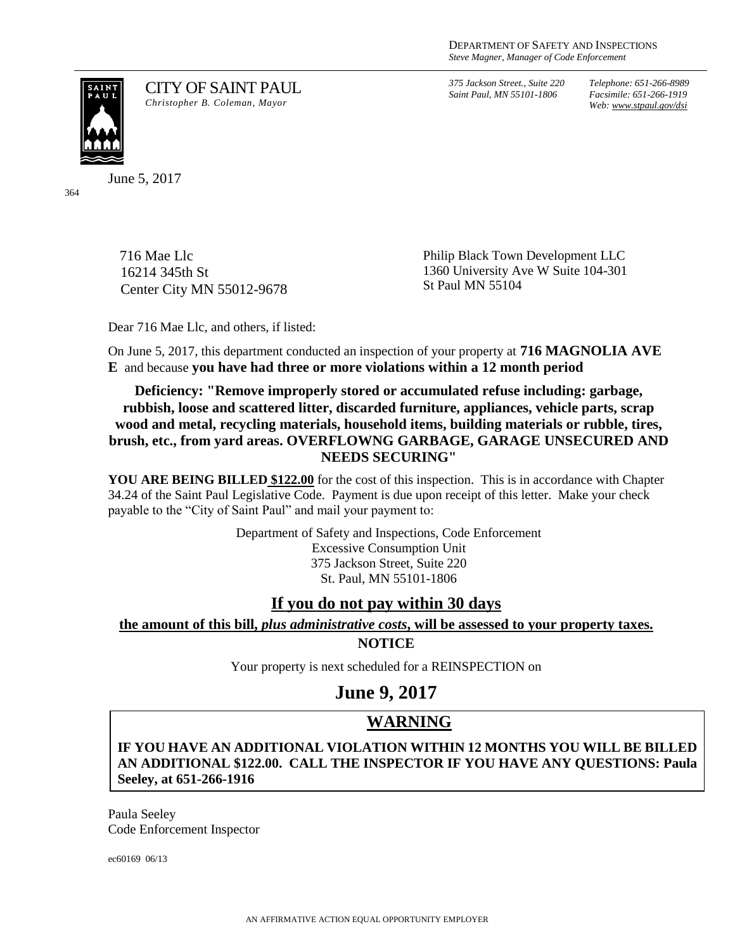*375 Jackson Street., Suite 220 Saint Paul, MN 55101-1806*

*Telephone: 651-266-8989 Facsimile: 651-266-1919 Web: www.stpaul.gov/dsi*

SAIN<mark>T</mark><br>PAUL

CITY OF SAINT PAUL *Christopher B. Coleman, Mayor*

June 5, 2017

364

716 Mae Llc 16214 345th St Center City MN 55012-9678 Philip Black Town Development LLC 1360 University Ave W Suite 104-301 St Paul MN 55104

Dear 716 Mae Llc, and others, if listed:

On June 5, 2017, this department conducted an inspection of your property at **716 MAGNOLIA AVE E** and because **you have had three or more violations within a 12 month period**

**Deficiency: "Remove improperly stored or accumulated refuse including: garbage, rubbish, loose and scattered litter, discarded furniture, appliances, vehicle parts, scrap wood and metal, recycling materials, household items, building materials or rubble, tires, brush, etc., from yard areas. OVERFLOWNG GARBAGE, GARAGE UNSECURED AND NEEDS SECURING"**

**YOU ARE BEING BILLED \$122.00** for the cost of this inspection. This is in accordance with Chapter 34.24 of the Saint Paul Legislative Code. Payment is due upon receipt of this letter. Make your check payable to the "City of Saint Paul" and mail your payment to:

> Department of Safety and Inspections, Code Enforcement Excessive Consumption Unit 375 Jackson Street, Suite 220 St. Paul, MN 55101-1806

### **If you do not pay within 30 days**

### **the amount of this bill,** *plus administrative costs***, will be assessed to your property taxes.**

**NOTICE**

Your property is next scheduled for a REINSPECTION on

**June 9, 2017**

# **WARNING**

**IF YOU HAVE AN ADDITIONAL VIOLATION WITHIN 12 MONTHS YOU WILL BE BILLED AN ADDITIONAL \$122.00. CALL THE INSPECTOR IF YOU HAVE ANY QUESTIONS: Paula Seeley, at 651-266-1916**

Paula Seeley Code Enforcement Inspector

ec60169 06/13